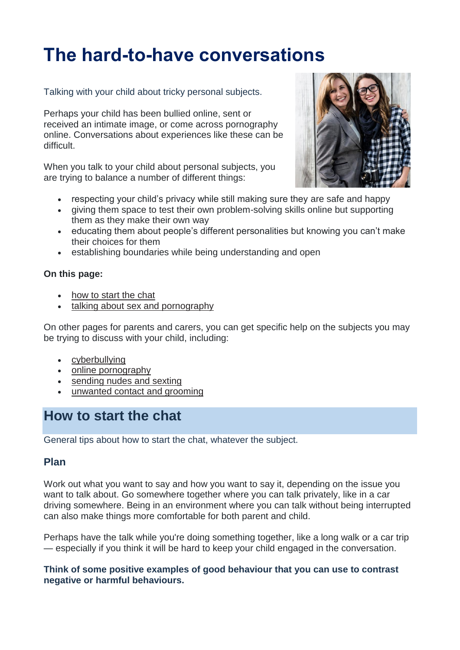# **The hard-to-have conversations**

Talking with your child about tricky personal subjects.

Perhaps your child has been bullied online, sent or received an intimate image, or come across pornography online. Conversations about experiences like these can be difficult.

When you talk to your child about personal subjects, you are trying to balance a number of different things:

- respecting your child's privacy while still making sure they are safe and happy
- giving them space to test their own problem-solving skills online but supporting them as they make their own way
- educating them about people's different personalities but knowing you can't make their choices for them
- establishing boundaries while being understanding and open

#### **On this page:**

- [how to start the chat](https://www.esafety.gov.au/parents/skills-advice/hard-to-have-conversations#how-to-start-the-chat)
- [talking about sex and pornography](https://www.esafety.gov.au/parents/skills-advice/hard-to-have-conversations#talking-about-sex-and-pornography)

On other pages for parents and carers, you can get specific help on the subjects you may be trying to discuss with your child, including:

- [cyberbullying](https://www.esafety.gov.au/parents/big-issues/cyberbullying)
- [online pornography](https://www.esafety.gov.au/parents/big-issues/online-pornography)
- [sending nudes and sexting](https://www.esafety.gov.au/parents/big-issues/sending-nudes-sexting)
- [unwanted contact and grooming](https://www.esafety.gov.au/parents/big-issues/unwanted-contact)

# **How to start the chat**

General tips about how to start the chat, whatever the subject.

#### **Plan**

Work out what you want to say and how you want to say it, depending on the issue you want to talk about. Go somewhere together where you can talk privately, like in a car driving somewhere. Being in an environment where you can talk without being interrupted can also make things more comfortable for both parent and child.

Perhaps have the talk while you're doing something together, like a long walk or a car trip — especially if you think it will be hard to keep your child engaged in the conversation.

**Think of some positive examples of good behaviour that you can use to contrast negative or harmful behaviours.**

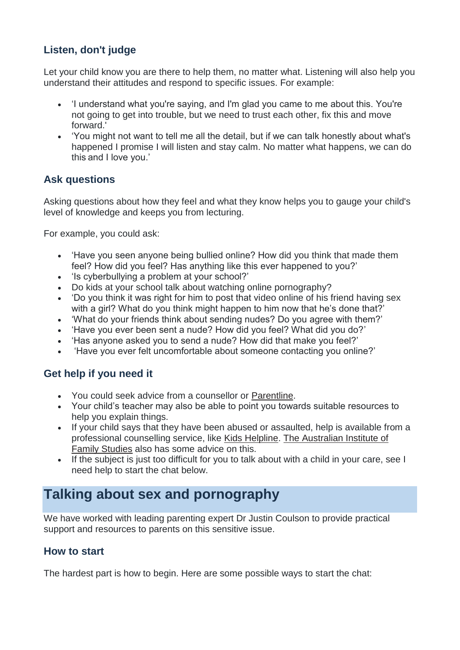## **Listen, don't judge**

Let your child know you are there to help them, no matter what. Listening will also help you understand their attitudes and respond to specific issues. For example:

- 'I understand what you're saying, and I'm glad you came to me about this. You're not going to get into trouble, but we need to trust each other, fix this and move forward.'
- 'You might not want to tell me all the detail, but if we can talk honestly about what's happened I promise I will listen and stay calm. No matter what happens, we can do this and I love you.'

### **Ask questions**

Asking questions about how they feel and what they know helps you to gauge your child's level of knowledge and keeps you from lecturing.

For example, you could ask:

- 'Have you seen anyone being bullied online? How did you think that made them feel? How did you feel? Has anything like this ever happened to you?'
- 'Is cyberbullying a problem at your school?'
- Do kids at your school talk about watching online pornography?
- 'Do you think it was right for him to post that video online of his friend having sex with a girl? What do you think might happen to him now that he's done that?'
- 'What do your friends think about sending nudes? Do you agree with them?'
- 'Have you ever been sent a nude? How did you feel? What did you do?'
- 'Has anyone asked you to send a nude? How did that make you feel?'
- 'Have you ever felt uncomfortable about someone contacting you online?'

## **Get help if you need it**

- You could seek advice from a counsellor or [Parentline.](https://www.parentline.com.au/other-support-services)
- Your child's teacher may also be able to point you towards suitable resources to help you explain things.
- If your child says that they have been abused or assaulted, help is available from a professional counselling service, like [Kids Helpline.](https://kidshelpline.com.au/) [The Australian Institute of](https://aifs.gov.au/cfca/publications/responding-children-and-young-people-s-disclosures-abu)  [Family Studies](https://aifs.gov.au/cfca/publications/responding-children-and-young-people-s-disclosures-abu) also has some advice on this.
- If the subject is just too difficult for you to talk about with a child in your care, see I need help to start the chat below.

# **Talking about sex and pornography**

We have worked with leading parenting expert Dr Justin Coulson to provide practical support and resources to parents on this sensitive issue.

#### **How to start**

The hardest part is how to begin. Here are some possible ways to start the chat: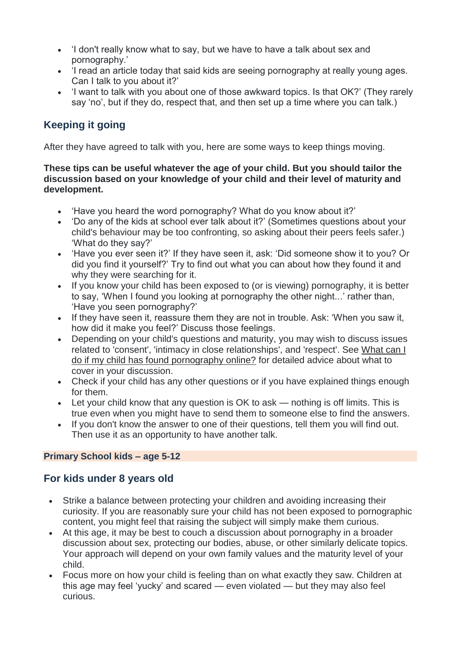- 'I don't really know what to say, but we have to have a talk about sex and pornography.'
- 'I read an article today that said kids are seeing pornography at really young ages. Can I talk to you about it?'
- 'I want to talk with you about one of those awkward topics. Is that OK?' (They rarely say 'no', but if they do, respect that, and then set up a time where you can talk.)

## **Keeping it going**

After they have agreed to talk with you, here are some ways to keep things moving.

#### **These tips can be useful whatever the age of your child. But you should tailor the discussion based on your knowledge of your child and their level of maturity and development.**

- 'Have you heard the word pornography? What do you know about it?'
- 'Do any of the kids at school ever talk about it?' (Sometimes questions about your child's behaviour may be too confronting, so asking about their peers feels safer.) 'What do they say?'
- 'Have you ever seen it?' If they have seen it, ask: 'Did someone show it to you? Or did you find it yourself?' Try to find out what you can about how they found it and why they were searching for it.
- If you know your child has been exposed to (or is viewing) pornography, it is better to say, 'When I found you looking at pornography the other night...' rather than, 'Have you seen pornography?'
- If they have seen it, reassure them they are not in trouble. Ask: 'When you saw it, how did it make you feel?' Discuss those feelings.
- Depending on your child's questions and maturity, you may wish to discuss issues related to 'consent', 'intimacy in close relationships', and 'respect'. See [What can I](https://www.esafety.gov.au/about-us/research/digital-parenting/pornography)  [do if my child has found pornography online?](https://www.esafety.gov.au/about-us/research/digital-parenting/pornography) for detailed advice about what to cover in your discussion.
- Check if your child has any other questions or if you have explained things enough for them.
- Let your child know that any question is OK to ask nothing is off limits. This is true even when you might have to send them to someone else to find the answers.
- If you don't know the answer to one of their questions, tell them you will find out. Then use it as an opportunity to have another talk.

#### **Primary School kids – age 5-12**

#### **For kids under 8 years old**

- Strike a balance between protecting your children and avoiding increasing their curiosity. If you are reasonably sure your child has not been exposed to pornographic content, you might feel that raising the subject will simply make them curious.
- At this age, it may be best to couch a discussion about pornography in a broader discussion about sex, protecting our bodies, abuse, or other similarly delicate topics. Your approach will depend on your own family values and the maturity level of your child.
- Focus more on how your child is feeling than on what exactly they saw. Children at this age may feel 'yucky' and scared — even violated — but they may also feel curious.